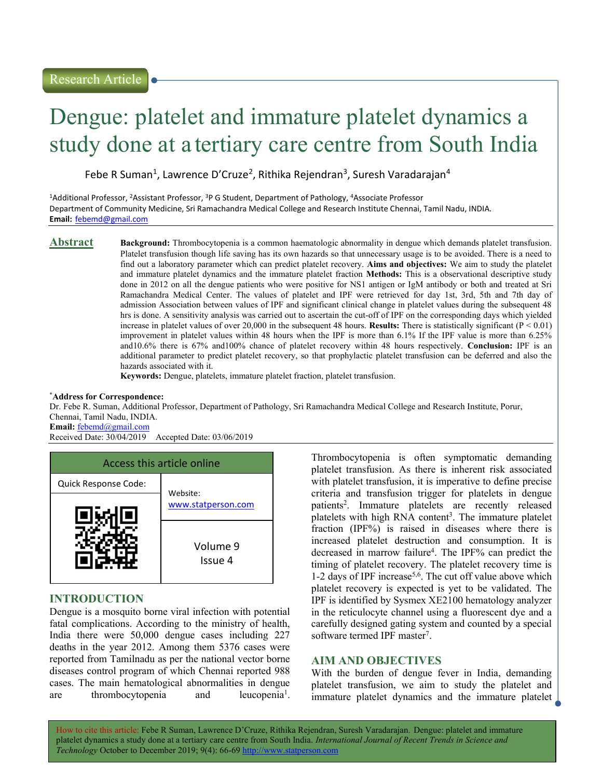# Dengue: platelet and immature platelet dynamics a study done at a tertiary care centre from South India

Febe R Suman<sup>1</sup>, Lawrence D'Cruze<sup>2</sup>, Rithika Rejendran<sup>3</sup>, Suresh Varadarajan<sup>4</sup>

<sup>1</sup>Additional Professor, <sup>2</sup>Assistant Professor, <sup>3</sup>P G Student, Department of Pathology, <sup>4</sup>Associate Professor Department of Community Medicine, Sri Ramachandra Medical College and Research Institute Chennai, Tamil Nadu, INDIA. Email: febemd@gmail.com

Abstract Background: Thrombocytopenia is a common haematologic abnormality in dengue which demands platelet transfusion. Platelet transfusion though life saving has its own hazards so that unnecessary usage is to be avoided. There is a need to find out a laboratory parameter which can predict platelet recovery. Aims and objectives: We aim to study the platelet and immature platelet dynamics and the immature platelet fraction Methods: This is a observational descriptive study done in 2012 on all the dengue patients who were positive for NS1 antigen or IgM antibody or both and treated at Sri Ramachandra Medical Center. The values of platelet and IPF were retrieved for day 1st, 3rd, 5th and 7th day of admission Association between values of IPF and significant clinical change in platelet values during the subsequent 48 hrs is done. A sensitivity analysis was carried out to ascertain the cut-off of IPF on the corresponding days which yielded increase in platelet values of over 20,000 in the subsequent 48 hours. Results: There is statistically significant  $(P < 0.01)$ improvement in platelet values within 48 hours when the IPF is more than 6.1% If the IPF value is more than 6.25% and10.6% there is 67% and100% chance of platelet recovery within 48 hours respectively. Conclusion: IPF is an additional parameter to predict platelet recovery, so that prophylactic platelet transfusion can be deferred and also the hazards associated with it.

Keywords: Dengue, platelets, immature platelet fraction, platelet transfusion.

### \*Address for Correspondence:

Dr. Febe R. Suman, Additional Professor, Department of Pathology, Sri Ramachandra Medical College and Research Institute, Porur, Chennai, Tamil Nadu, INDIA.

Email: febemd@gmail.com<br>Received Date: 30/04/2019 Accepted Date: 03/06/2019



# INTRODUCTION

Dengue is a mosquito borne viral infection with potential fatal complications. According to the ministry of health, India there were 50,000 dengue cases including 227 deaths in the year 2012. Among them 5376 cases were reported from Tamilnadu as per the national vector borne diseases control program of which Chennai reported 988 cases. The main hematological abnormalities in dengue are thrombocytopenia and leucopenia<sup>1</sup>.

Thrombocytopenia is often symptomatic demanding platelet transfusion. As there is inherent risk associated with platelet transfusion, it is imperative to define precise criteria and transfusion trigger for platelets in dengue patients<sup>2</sup> . Immature platelets are recently released platelets with high RNA content<sup>3</sup>. The immature platelet fraction (IPF%) is raised in diseases where there is increased platelet destruction and consumption. It is decreased in marrow failure<sup>4</sup> . The IPF% can predict the timing of platelet recovery. The platelet recovery time is 1-2 days of IPF increase<sup>5,6</sup>. The cut off value above which platelet recovery is expected is yet to be validated. The IPF is identified by Sysmex XE2100 hematology analyzer in the reticulocyte channel using a fluorescent dye and a carefully designed gating system and counted by a special software termed IPF master<sup>7</sup>.

# AIM AND OBJECTIVES

With the burden of dengue fever in India, demanding platelet transfusion, we aim to study the platelet and immature platelet dynamics and the immature platelet  $\perp$ 

How to cite this article: Febe R Suman, Lawrence D'Cruze, Rithika Rejendran, Suresh Varadarajan. Dengue: platelet and immature platelet dynamics a study done at a tertiary care centre from South India. International Journal of Recent Trends in Science and Technology October to December 2019; 9(4): 66-69 http://www.statperson.com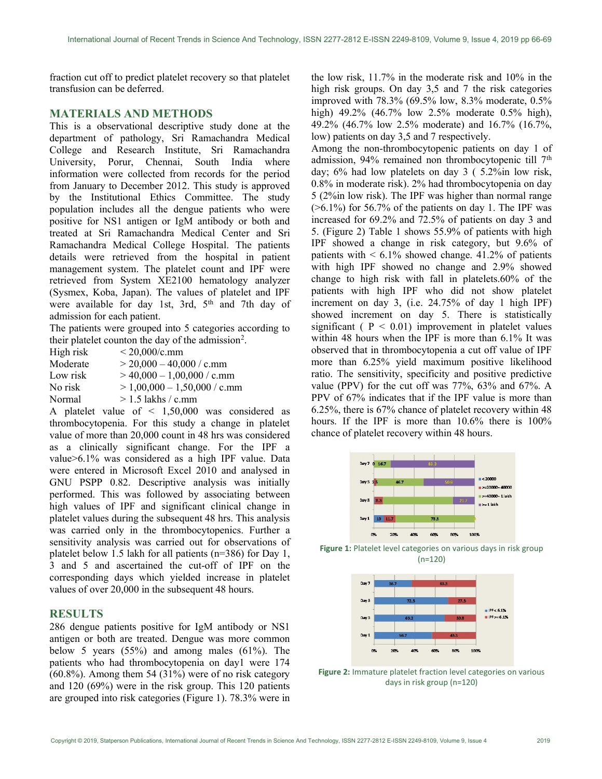fraction cut off to predict platelet recovery so that platelet transfusion can be deferred.

# MATERIALS AND METHODS

This is a observational descriptive study done at the department of pathology, Sri Ramachandra Medical College and Research Institute, Sri Ramachandra University, Porur, Chennai, South India where information were collected from records for the period from January to December 2012. This study is approved by the Institutional Ethics Committee. The study population includes all the dengue patients who were positive for NS1 antigen or IgM antibody or both and treated at Sri Ramachandra Medical Center and Sri Ramachandra Medical College Hospital. The patients details were retrieved from the hospital in patient management system. The platelet count and IPF were retrieved from System XE2100 hematology analyzer (Sysmex, Koba, Japan). The values of platelet and IPF were available for day 1st, 3rd,  $5<sup>th</sup>$  and 7th day of admission for each patient.

The patients were grouped into 5 categories according to their platelet counton the day of the admission<sup>2</sup>.

| High risk | $< 20,000/c$ .mm               |
|-----------|--------------------------------|
| Moderate  | $>$ 20,000 - 40,000 / c.mm     |
| Low risk  | $>$ 40,000 - 1,00,000 / c.mm   |
| No risk   | $> 1,00,000 - 1,50,000 /$ c.mm |
| Normal    | $> 1.5$ lakhs / c.mm           |

A platelet value of < 1,50,000 was considered as thrombocytopenia. For this study a change in platelet value of more than 20,000 count in 48 hrs was considered as a clinically significant change. For the IPF a value>6.1% was considered as a high IPF value. Data were entered in Microsoft Excel 2010 and analysed in GNU PSPP 0.82. Descriptive analysis was initially performed. This was followed by associating between high values of IPF and significant clinical change in platelet values during the subsequent 48 hrs. This analysis was carried only in the thrombocytopenics. Further a sensitivity analysis was carried out for observations of platelet below 1.5 lakh for all patients (n=386) for Day 1, 3 and 5 and ascertained the cut-off of IPF on the corresponding days which yielded increase in platelet values of over 20,000 in the subsequent 48 hours.

# **RESULTS**

286 dengue patients positive for IgM antibody or NS1 antigen or both are treated. Dengue was more common below 5 years (55%) and among males (61%). The patients who had thrombocytopenia on day1 were 174 (60.8%). Among them 54 (31%) were of no risk category and 120 (69%) were in the risk group. This 120 patients are grouped into risk categories (Figure 1). 78.3% were in the low risk, 11.7% in the moderate risk and 10% in the high risk groups. On day 3,5 and 7 the risk categories improved with 78.3% (69.5% low, 8.3% moderate, 0.5% high) 49.2% (46.7% low 2.5% moderate 0.5% high), 49.2% (46.7% low 2.5% moderate) and 16.7% (16.7%, low) patients on day 3,5 and 7 respectively.

Among the non-thrombocytopenic patients on day 1 of admission, 94% remained non thrombocytopenic till 7<sup>th</sup> day; 6% had low platelets on day 3 ( 5.2%in low risk, 0.8% in moderate risk). 2% had thrombocytopenia on day 5 (2%in low risk). The IPF was higher than normal range  $($ >6.1%) for 56.7% of the patients on day 1. The IPF was increased for 69.2% and 72.5% of patients on day 3 and 5. (Figure 2) Table 1 shows 55.9% of patients with high IPF showed a change in risk category, but 9.6% of patients with  $\leq 6.1\%$  showed change. 41.2% of patients with high IPF showed no change and 2.9% showed change to high risk with fall in platelets.60% of the patients with high IPF who did not show platelet increment on day 3, (i.e. 24.75% of day 1 high IPF) showed increment on day 5. There is statistically significant ( $P < 0.01$ ) improvement in platelet values within 48 hours when the IPF is more than 6.1% It was observed that in thrombocytopenia a cut off value of IPF more than 6.25% yield maximum positive likelihood ratio. The sensitivity, specificity and positive predictive value (PPV) for the cut off was 77%, 63% and 67%. A PPV of 67% indicates that if the IPF value is more than 6.25%, there is 67% chance of platelet recovery within 48 hours. If the IPF is more than 10.6% there is 100% chance of platelet recovery within 48 hours.



Figure 1: Platelet level categories on various days in risk group (n=120)



Figure 2: Immature platelet fraction level categories on various days in risk group (n=120)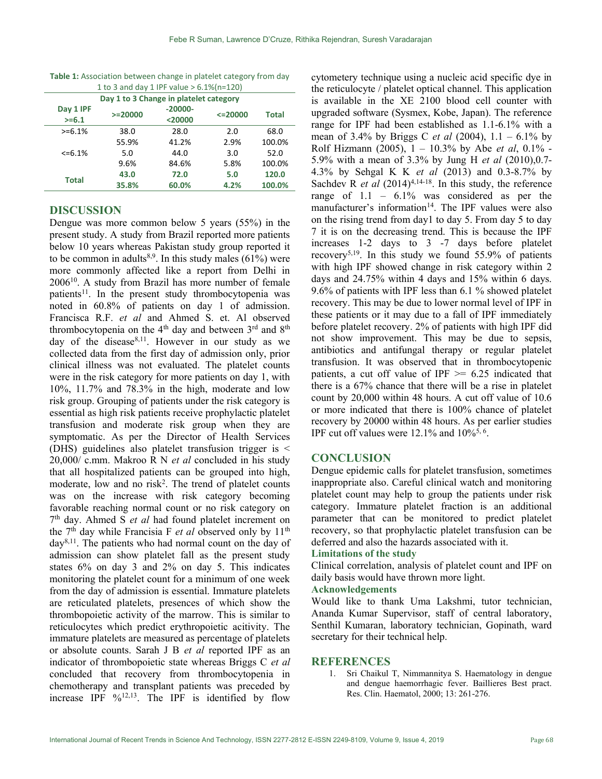| 1 to 3 and day 1 IPF value $> 6.1\%$ (n=120) |            |                      |              |              |  |
|----------------------------------------------|------------|----------------------|--------------|--------------|--|
| Day 1 to 3 Change in platelet category       |            |                      |              |              |  |
| Day 1 IPF<br>$>= 6.1$                        | $>= 20000$ | $-20000-$<br>$20000$ | $\leq$ 20000 | <b>Total</b> |  |
| $>= 6.1%$                                    | 38.0       | 28.0                 | 2.0          | 68.0         |  |
| $<=6.1\%$                                    | 55.9%      | 41.2%                | 2.9%         | 100.0%       |  |
|                                              | 5.0        | 44.0                 | 3.0          | 52.0         |  |
|                                              | 9.6%       | 84.6%                | 5.8%         | 100.0%       |  |
| Total                                        | 43.0       | 72.0                 | 5.0          | 120.0        |  |
|                                              | 35.8%      | 60.0%                | 4.2%         | 100.0%       |  |

Table 1: Association between change in platelet category from day

# DISCUSSION

Dengue was more common below 5 years (55%) in the present study. A study from Brazil reported more patients below 10 years whereas Pakistan study group reported it to be common in adults<sup>8,9</sup>. In this study males  $(61%)$  were more commonly affected like a report from Delhi in 2006<sup>10</sup>. A study from Brazil has more number of female patients<sup>11</sup>. In the present study thrombocytopenia was noted in 60.8% of patients on day 1 of admission. Francisca R.F. et al and Ahmed S. et. Al observed thrombocytopenia on the  $4<sup>th</sup>$  day and between  $3<sup>rd</sup>$  and  $8<sup>th</sup>$ day of the disease $8,11$ . However in our study as we collected data from the first day of admission only, prior clinical illness was not evaluated. The platelet counts were in the risk category for more patients on day 1, with 10%, 11.7% and 78.3% in the high, moderate and low risk group. Grouping of patients under the risk category is essential as high risk patients receive prophylactic platelet transfusion and moderate risk group when they are symptomatic. As per the Director of Health Services (DHS) guidelines also platelet transfusion trigger is <  $20,000/$  c.mm. Makroo R N *et al* concluded in his study that all hospitalized patients can be grouped into high, moderate, low and no risk<sup>2</sup>. The trend of platelet counts was on the increase with risk category becoming favorable reaching normal count or no risk category on 7<sup>th</sup> day. Ahmed S et al had found platelet increment on the  $7<sup>th</sup>$  day while Francisia F *et al* observed only by  $11<sup>th</sup>$  $day^{8,11}$ . The patients who had normal count on the day of admission can show platelet fall as the present study states 6% on day 3 and 2% on day 5. This indicates monitoring the platelet count for a minimum of one week from the day of admission is essential. Immature platelets are reticulated platelets, presences of which show the thrombopoietic activity of the marrow. This is similar to reticulocytes which predict erythropoietic acitivity. The immature platelets are measured as percentage of platelets or absolute counts. Sarah J B et al reported IPF as an indicator of thrombopoietic state whereas Briggs C et al concluded that recovery from thrombocytopenia in chemotherapy and transplant patients was preceded by increase IPF %12,13. The IPF is identified by flow

cytometery technique using a nucleic acid specific dye in the reticulocyte / platelet optical channel. This application is available in the XE 2100 blood cell counter with upgraded software (Sysmex, Kobe, Japan). The reference range for IPF had been established as 1.1-6.1% with a mean of 3.4% by Briggs C *et al* (2004),  $1.1 - 6.1\%$  by Rolf Hizmann (2005),  $1 - 10.3\%$  by Abe *et al*, 0.1% -5.9% with a mean of 3.3% by Jung H et al (2010),0.7- 4.3% by Sehgal K K et al (2013) and 0.3-8.7% by Sachdev R *et al*  $(2014)^{4,14-18}$ . In this study, the reference range of 1.1 – 6.1% was considered as per the manufacturer's information<sup>14</sup>. The IPF values were also on the rising trend from day1 to day 5. From day 5 to day 7 it is on the decreasing trend. This is because the IPF increases 1-2 days to 3 -7 days before platelet recovery5,19. In this study we found 55.9% of patients with high IPF showed change in risk category within 2 days and 24.75% within 4 days and 15% within 6 days. 9.6% of patients with IPF less than 6.1 % showed platelet recovery. This may be due to lower normal level of IPF in these patients or it may due to a fall of IPF immediately before platelet recovery. 2% of patients with high IPF did not show improvement. This may be due to sepsis, antibiotics and antifungal therapy or regular platelet transfusion. It was observed that in thrombocytopenic patients, a cut off value of IPF  $\ge$  6.25 indicated that there is a 67% chance that there will be a rise in platelet count by 20,000 within 48 hours. A cut off value of 10.6 or more indicated that there is 100% chance of platelet recovery by 20000 within 48 hours. As per earlier studies IPF cut off values were  $12.1\%$  and  $10\%$ <sup>5, 6</sup>.

### **CONCLUSION**

Dengue epidemic calls for platelet transfusion, sometimes inappropriate also. Careful clinical watch and monitoring platelet count may help to group the patients under risk category. Immature platelet fraction is an additional parameter that can be monitored to predict platelet recovery, so that prophylactic platelet transfusion can be deferred and also the hazards associated with it.

#### Limitations of the study

Clinical correlation, analysis of platelet count and IPF on daily basis would have thrown more light.

### Acknowledgements

Would like to thank Uma Lakshmi, tutor technician, Ananda Kumar Supervisor, staff of central laboratory, Senthil Kumaran, laboratory technician, Gopinath, ward secretary for their technical help.

### **REFERENCES**

1. Sri Chaikul T, Nimmannitya S. Haematology in dengue and dengue haemorrhagic fever. Baillieres Best pract. Res. Clin. Haematol, 2000; 13: 261-276.